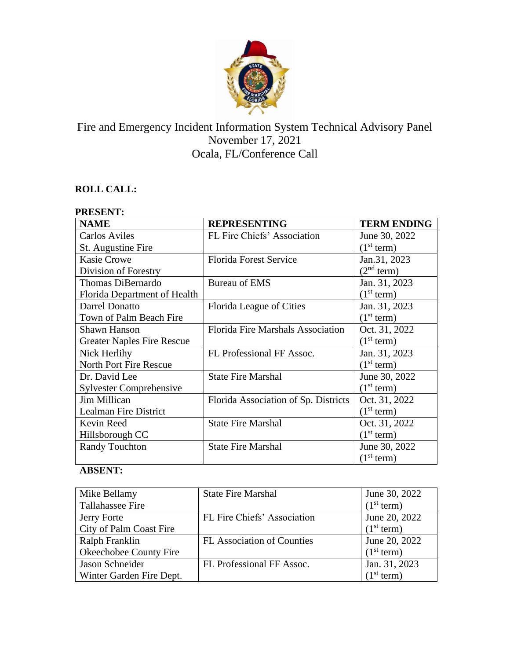

# Fire and Emergency Incident Information System Technical Advisory Panel November 17, 2021 Ocala, FL/Conference Call

## **ROLL CALL:**

| <b>PRESENT:</b>                   |                                          |                        |  |
|-----------------------------------|------------------------------------------|------------------------|--|
| <b>NAME</b>                       | <b>REPRESENTING</b>                      | <b>TERM ENDING</b>     |  |
| <b>Carlos Aviles</b>              | FL Fire Chiefs' Association              | June 30, 2022          |  |
| St. Augustine Fire                |                                          | (1 <sup>st</sup> term) |  |
| <b>Kasie Crowe</b>                | <b>Florida Forest Service</b>            | Jan.31, 2023           |  |
| Division of Forestry              |                                          | (2 <sup>nd</sup> term) |  |
| Thomas DiBernardo                 | <b>Bureau of EMS</b>                     | Jan. 31, 2023          |  |
| Florida Department of Health      |                                          | (1 <sup>st</sup> term) |  |
| Darrel Donatto                    | Florida League of Cities                 | Jan. 31, 2023          |  |
| Town of Palm Beach Fire           |                                          | (1 <sup>st</sup> term) |  |
| <b>Shawn Hanson</b>               | <b>Florida Fire Marshals Association</b> | Oct. 31, 2022          |  |
| <b>Greater Naples Fire Rescue</b> |                                          | (1 <sup>st</sup> term) |  |
| Nick Herlihy                      | FL Professional FF Assoc.                | Jan. 31, 2023          |  |
| <b>North Port Fire Rescue</b>     |                                          | (1 <sup>st</sup> term) |  |
| Dr. David Lee                     | <b>State Fire Marshal</b>                | June 30, 2022          |  |
| <b>Sylvester Comprehensive</b>    |                                          | (1 <sup>st</sup> term) |  |
| Jim Millican                      | Florida Association of Sp. Districts     | Oct. 31, 2022          |  |
| Lealman Fire District             |                                          | (1 <sup>st</sup> term) |  |
| Kevin Reed                        | <b>State Fire Marshal</b>                | Oct. 31, 2022          |  |
| Hillsborough CC                   |                                          | (1 <sup>st</sup> term) |  |
| <b>Randy Touchton</b>             | <b>State Fire Marshal</b>                | June 30, 2022          |  |
|                                   |                                          | (1 <sup>st</sup> term) |  |

## **ABSENT:**

| Mike Bellamy             | <b>State Fire Marshal</b>   | June 30, 2022          |
|--------------------------|-----------------------------|------------------------|
| Tallahassee Fire         |                             | (1 <sup>st</sup> term) |
| Jerry Forte              | FL Fire Chiefs' Association | June 20, 2022          |
| City of Palm Coast Fire  |                             | (1 <sup>st</sup> term) |
| Ralph Franklin           | FL Association of Counties  | June 20, 2022          |
| Okeechobee County Fire   |                             | (1 <sup>st</sup> term) |
| Jason Schneider          | FL Professional FF Assoc.   | Jan. 31, 2023          |
| Winter Garden Fire Dept. |                             | (1 <sup>st</sup> term) |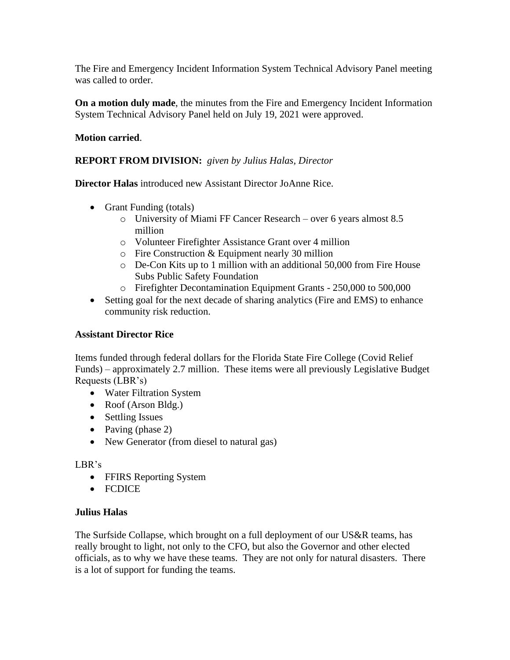The Fire and Emergency Incident Information System Technical Advisory Panel meeting was called to order.

**On a motion duly made**, the minutes from the Fire and Emergency Incident Information System Technical Advisory Panel held on July 19, 2021 were approved.

#### **Motion carried**.

#### **REPORT FROM DIVISION:** *given by Julius Halas, Director*

**Director Halas** introduced new Assistant Director JoAnne Rice.

- Grant Funding (totals)
	- o University of Miami FF Cancer Research over 6 years almost 8.5 million
	- o Volunteer Firefighter Assistance Grant over 4 million
	- o Fire Construction & Equipment nearly 30 million
	- o De-Con Kits up to 1 million with an additional 50,000 from Fire House Subs Public Safety Foundation
	- o Firefighter Decontamination Equipment Grants 250,000 to 500,000
- Setting goal for the next decade of sharing analytics (Fire and EMS) to enhance community risk reduction.

#### **Assistant Director Rice**

Items funded through federal dollars for the Florida State Fire College (Covid Relief Funds) – approximately 2.7 million. These items were all previously Legislative Budget Requests (LBR's)

- Water Filtration System
- Roof (Arson Bldg.)
- Settling Issues
- Paving (phase 2)
- New Generator (from diesel to natural gas)

#### LBR's

- FFIRS Reporting System
- FCDICE

#### **Julius Halas**

The Surfside Collapse, which brought on a full deployment of our US&R teams, has really brought to light, not only to the CFO, but also the Governor and other elected officials, as to why we have these teams. They are not only for natural disasters. There is a lot of support for funding the teams.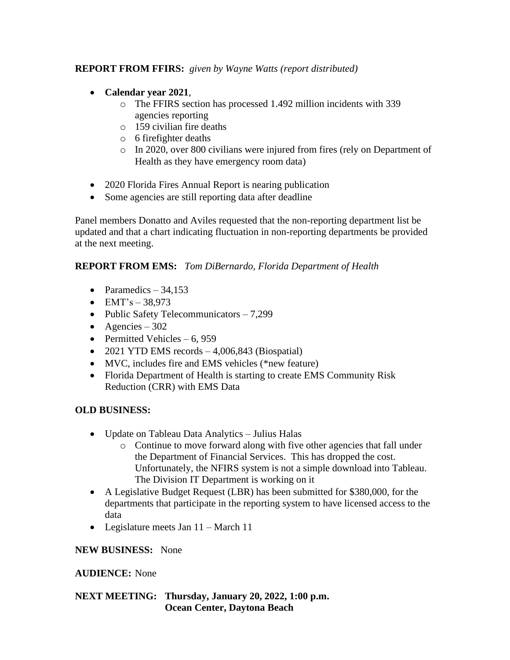### **REPORT FROM FFIRS:** *given by Wayne Watts (report distributed)*

- **Calendar year 2021**,
	- o The FFIRS section has processed 1.492 million incidents with 339 agencies reporting
	- o 159 civilian fire deaths
	- o 6 firefighter deaths
	- o In 2020, over 800 civilians were injured from fires (rely on Department of Health as they have emergency room data)
- 2020 Florida Fires Annual Report is nearing publication
- Some agencies are still reporting data after deadline

Panel members Donatto and Aviles requested that the non-reporting department list be updated and that a chart indicating fluctuation in non-reporting departments be provided at the next meeting.

### **REPORT FROM EMS:** *Tom DiBernardo, Florida Department of Health*

- Paramedics  $-34.153$
- $EMT's 38,973$
- Public Safety Telecommunicators 7,299
- Agencies 302
- Permitted Vehicles  $-6, 959$
- 2021 YTD EMS records  $-4,006,843$  (Biospatial)
- MVC, includes fire and EMS vehicles (\*new feature)
- Florida Department of Health is starting to create EMS Community Risk Reduction (CRR) with EMS Data

### **OLD BUSINESS:**

- Update on Tableau Data Analytics Julius Halas
	- o Continue to move forward along with five other agencies that fall under the Department of Financial Services. This has dropped the cost. Unfortunately, the NFIRS system is not a simple download into Tableau. The Division IT Department is working on it
- A Legislative Budget Request (LBR) has been submitted for \$380,000, for the departments that participate in the reporting system to have licensed access to the data
- Legislature meets Jan 11 March 11

### **NEW BUSINESS:** None

### **AUDIENCE:** None

### **NEXT MEETING: Thursday, January 20, 2022, 1:00 p.m. Ocean Center, Daytona Beach**